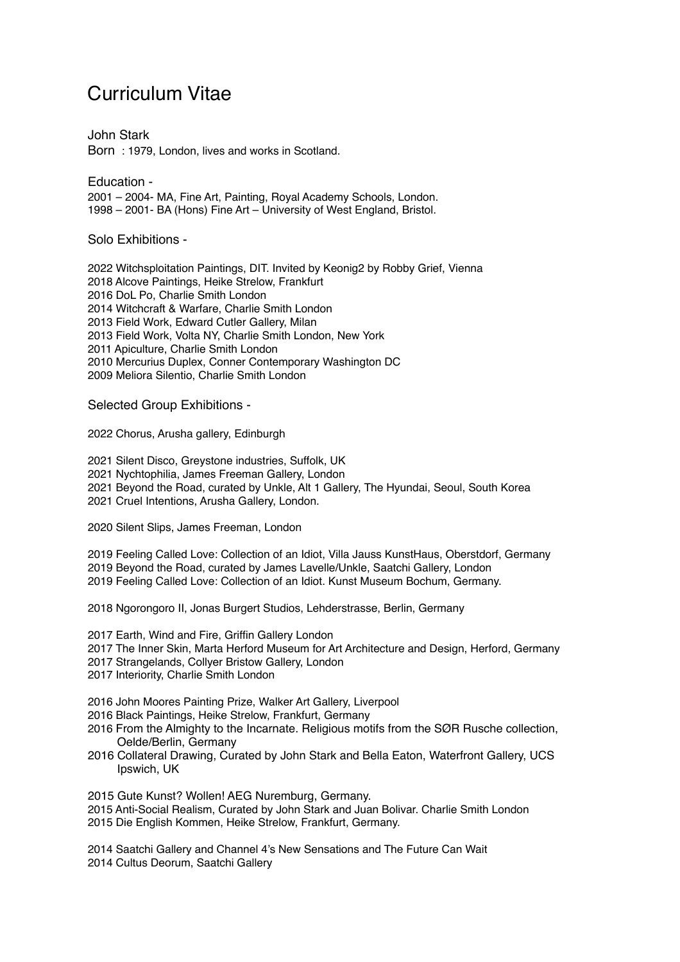## Curriculum Vitae

John Stark Born : 1979, London, lives and works in Scotland.

Education - 2001 – 2004- MA, Fine Art, Painting, Royal Academy Schools, London. 1998 – 2001- BA (Hons) Fine Art – University of West England, Bristol.

Solo Exhibitions -

2022 Witchsploitation Paintings, DIT. Invited by Keonig2 by Robby Grief, Vienna 2018 Alcove Paintings, Heike Strelow, Frankfurt 2016 DoL Po, Charlie Smith London 2014 Witchcraft & Warfare, Charlie Smith London 2013 Field Work, Edward Cutler Gallery, Milan 2013 Field Work, Volta NY, Charlie Smith London, New York 2011 Apiculture, Charlie Smith London 2010 Mercurius Duplex, Conner Contemporary Washington DC 2009 Meliora Silentio, Charlie Smith London

Selected Group Exhibitions -

2022 Chorus, Arusha gallery, Edinburgh

2021 Silent Disco, Greystone industries, Suffolk, UK 2021 Nychtophilia, James Freeman Gallery, London

2021 Beyond the Road, curated by Unkle, Alt 1 Gallery, The Hyundai, Seoul, South Korea

2021 Cruel Intentions, Arusha Gallery, London.

2020 Silent Slips, James Freeman, London

2019 Feeling Called Love: Collection of an Idiot, Villa Jauss KunstHaus, Oberstdorf, Germany 2019 Beyond the Road, curated by James Lavelle/Unkle, Saatchi Gallery, London 2019 Feeling Called Love: Collection of an Idiot. Kunst Museum Bochum, Germany.

2018 Ngorongoro II, Jonas Burgert Studios, Lehderstrasse, Berlin, Germany

2017 Earth, Wind and Fire, Griffin Gallery London

- 2017 The Inner Skin, Marta Herford Museum for Art Architecture and Design, Herford, Germany
- 2017 Strangelands, Collyer Bristow Gallery, London
- 2017 Interiority, Charlie Smith London

2016 John Moores Painting Prize, Walker Art Gallery, Liverpool

- 2016 Black Paintings, Heike Strelow, Frankfurt, Germany
- 2016 From the Almighty to the Incarnate. Religious motifs from the SØR Rusche collection, Oelde/Berlin, Germany
- 2016 Collateral Drawing, Curated by John Stark and Bella Eaton, Waterfront Gallery, UCS Ipswich, UK

2015 Gute Kunst? Wollen! AEG Nuremburg, Germany.

2015 Anti-Social Realism, Curated by John Stark and Juan Bolivar. Charlie Smith London 2015 Die English Kommen, Heike Strelow, Frankfurt, Germany.

2014 Saatchi Gallery and Channel 4's New Sensations and The Future Can Wait 2014 Cultus Deorum, Saatchi Gallery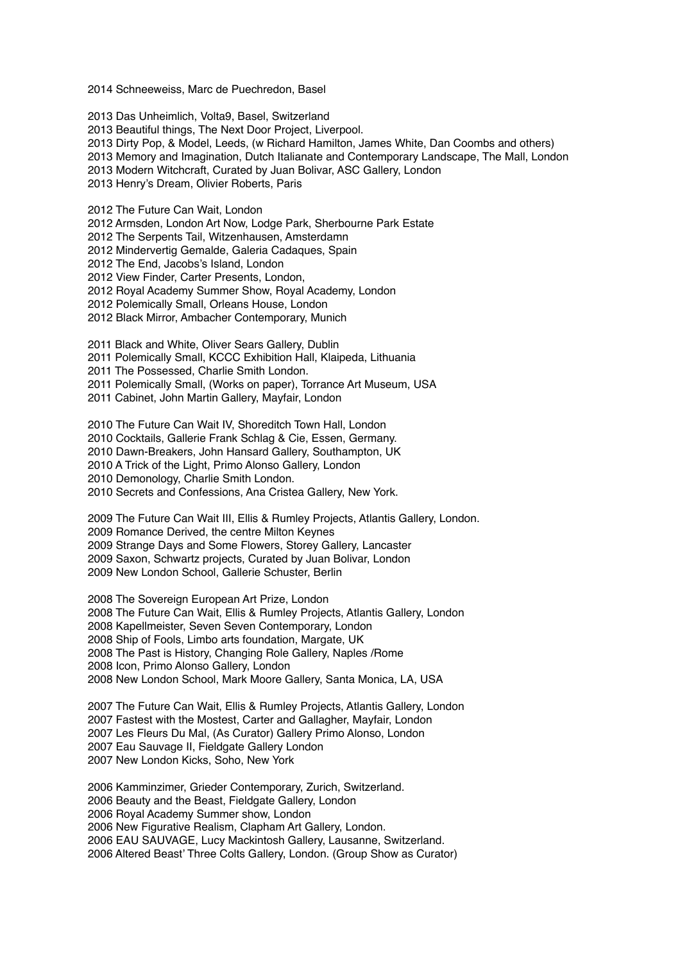2014 Schneeweiss, Marc de Puechredon, Basel

2013 Das Unheimlich, Volta9, Basel, Switzerland 2013 Beautiful things, The Next Door Project, Liverpool. 2013 Dirty Pop, & Model, Leeds, (w Richard Hamilton, James White, Dan Coombs and others) 2013 Memory and Imagination, Dutch Italianate and Contemporary Landscape, The Mall, London 2013 Modern Witchcraft, Curated by Juan Bolivar, ASC Gallery, London 2013 Henry's Dream, Olivier Roberts, Paris

2012 The Future Can Wait, London

2012 Armsden, London Art Now, Lodge Park, Sherbourne Park Estate

2012 The Serpents Tail, Witzenhausen, Amsterdamn

2012 Mindervertig Gemalde, Galeria Cadaques, Spain

2012 The End, Jacobs's Island, London

2012 View Finder, Carter Presents, London,

2012 Royal Academy Summer Show, Royal Academy, London

- 2012 Polemically Small, Orleans House, London
- 2012 Black Mirror, Ambacher Contemporary, Munich

2011 Black and White, Oliver Sears Gallery, Dublin

2011 Polemically Small, KCCC Exhibition Hall, Klaipeda, Lithuania

2011 The Possessed, Charlie Smith London.

2011 Polemically Small, (Works on paper), Torrance Art Museum, USA

2011 Cabinet, John Martin Gallery, Mayfair, London

2010 The Future Can Wait IV, Shoreditch Town Hall, London 2010 Cocktails, Gallerie Frank Schlag & Cie, Essen, Germany. 2010 Dawn-Breakers, John Hansard Gallery, Southampton, UK 2010 A Trick of the Light, Primo Alonso Gallery, London 2010 Demonology, Charlie Smith London. 2010 Secrets and Confessions, Ana Cristea Gallery, New York.

2009 The Future Can Wait III, Ellis & Rumley Projects, Atlantis Gallery, London. 2009 Romance Derived, the centre Milton Keynes 2009 Strange Days and Some Flowers, Storey Gallery, Lancaster 2009 Saxon, Schwartz projects, Curated by Juan Bolivar, London 2009 New London School, Gallerie Schuster, Berlin

2008 The Sovereign European Art Prize, London 2008 The Future Can Wait, Ellis & Rumley Projects, Atlantis Gallery, London 2008 Kapellmeister, Seven Seven Contemporary, London 2008 Ship of Fools, Limbo arts foundation, Margate, UK 2008 The Past is History, Changing Role Gallery, Naples /Rome 2008 Icon, Primo Alonso Gallery, London 2008 New London School, Mark Moore Gallery, Santa Monica, LA, USA

2007 The Future Can Wait, Ellis & Rumley Projects, Atlantis Gallery, London 2007 Fastest with the Mostest, Carter and Gallagher, Mayfair, London 2007 Les Fleurs Du Mal, (As Curator) Gallery Primo Alonso, London 2007 Eau Sauvage II, Fieldgate Gallery London 2007 New London Kicks, Soho, New York

2006 Kamminzimer, Grieder Contemporary, Zurich, Switzerland. 2006 Beauty and the Beast, Fieldgate Gallery, London 2006 Royal Academy Summer show, London 2006 New Figurative Realism, Clapham Art Gallery, London. 2006 EAU SAUVAGE, Lucy Mackintosh Gallery, Lausanne, Switzerland. 2006 Altered Beast' Three Colts Gallery, London. (Group Show as Curator)